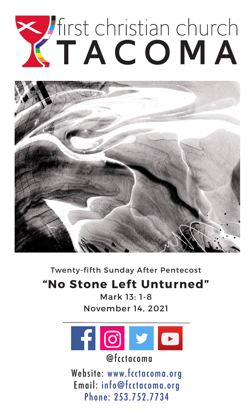# The COMA



Twenty-fifth Sunday After Pentecost

# **"No Stone Left Unturned"**

Mark 13: 1-8 November 14, 2021



@fcctacoma

Website: www.fcctacoma.org Email: info@fcctacoma.org Phone: 253.752.7734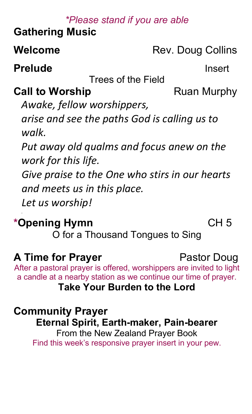# *\*Please stand if you are able*

# **Gathering Music**

**Welcome** Rev. Doug Collins

**Prelude Insert** 

Trees of the Field

# **Call to Worship Ruan Murphy**

*Awake, fellow worshippers, arise and see the paths God is calling us to walk.*

*Put away old qualms and focus anew on the work for this life.*

*Give praise to the One who stirs in our hearts and meets us in this place.*

*Let us worship!*

# **\*Opening Hymn** CH 5

O for a Thousand Tongues to Sing

# **A Time for Prayer** Pastor Doug

After a pastoral prayer is offered, worshippers are invited to light a candle at a nearby station as we continue our time of prayer.

# **Take Your Burden to the Lord**

# **Community Prayer**

**Eternal Spirit, Earth-maker, Pain-bearer**

From the New Zealand Prayer Book Find this week's responsive prayer insert in your pew.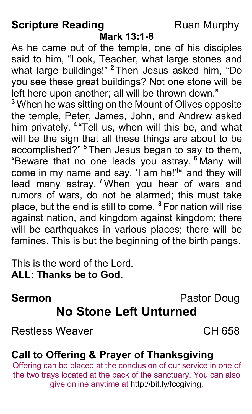# **Scripture Reading**

# **Ruan Murphy**

## Mark 13:1-8

As he came out of the temple, one of his disciples said to him, "Look, Teacher, what large stones and what large buildings!" <sup>2</sup> Then Jesus asked him, "Do you see these great buildings? Not one stone will be left here upon another: all will be thrown down."

<sup>3</sup> When he was sitting on the Mount of Olives opposite the temple, Peter, James, John, and Andrew asked him privately, <sup>4</sup> "Tell us, when will this be, and what will be the sign that all these things are about to be accomplished?" <sup>5</sup> Then Jesus began to say to them, "Beware that no one leads you astray. <sup>6</sup> Many will come in my name and say, 'I am he!'<sup>[a]</sup> and they will lead many astray. <sup>7</sup> When you hear of wars and rumors of wars, do not be alarmed; this must take place, but the end is still to come. <sup>8</sup> For nation will rise against nation, and kingdom against kingdom; there will be earthquakes in various places; there will be famines. This is but the beginning of the birth pangs.

This is the word of the Lord. ALL: Thanks be to God.

### Pastor Doug **Sermon No Stone Left Unturned**

**Restless Weaver** 

 $CH$  658

# **Call to Offering & Prayer of Thanksgiving**

Offering can be placed at the conclusion of our service in one of the two trays located at the back of the sanctuary. You can also give online anytime at http://bit.ly/fccgiving.